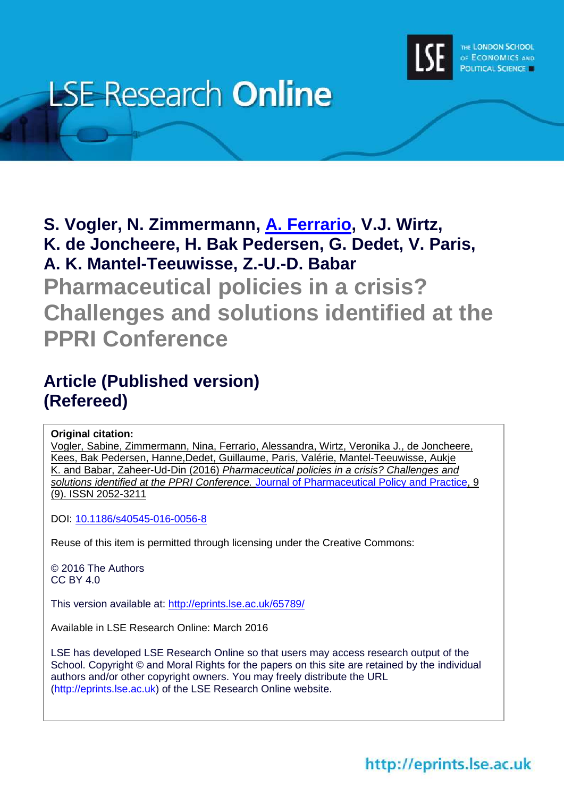

# **LSE Research Online**

**S. Vogler, N. Zimmermann, [A. Ferrario,](http://www.lse.ac.uk/researchAndExpertise/Experts/profile.aspx?KeyValue=a.ferrario@lse.ac.uk) V.J. Wirtz, K. de Joncheere, H. Bak Pedersen, G. Dedet, V. Paris, A. K. Mantel-Teeuwisse, Z.-U.-D. Babar Pharmaceutical policies in a crisis? Challenges and solutions identified at the PPRI Conference**

# **Article (Published version) (Refereed)**

## **Original citation:**

Vogler, Sabine, Zimmermann, Nina, Ferrario, Alessandra, Wirtz, Veronika J., de Joncheere, Kees, Bak Pedersen, Hanne,Dedet, Guillaume, Paris, Valérie, Mantel-Teeuwisse, Aukje K. and Babar, Zaheer-Ud-Din (2016) *Pharmaceutical policies in a crisis? Challenges and solutions identified at the PPRI Conference.* [Journal of Pharmaceutical Policy and Practice,](https://joppp.biomedcentral.com/) 9 (9). ISSN 2052-3211

DOI: [10.1186/s40545-016-0056-8](http://dx.doi.org/10.1186/s40545-016-0056-8)

Reuse of this item is permitted through licensing under the Creative Commons:

© 2016 The Authors CC BY 4.0

This version available at:<http://eprints.lse.ac.uk/65789/>

Available in LSE Research Online: March 2016

LSE has developed LSE Research Online so that users may access research output of the School. Copyright © and Moral Rights for the papers on this site are retained by the individual authors and/or other copyright owners. You may freely distribute the URL (http://eprints.lse.ac.uk) of the LSE Research Online website.

# http://eprints.lse.ac.uk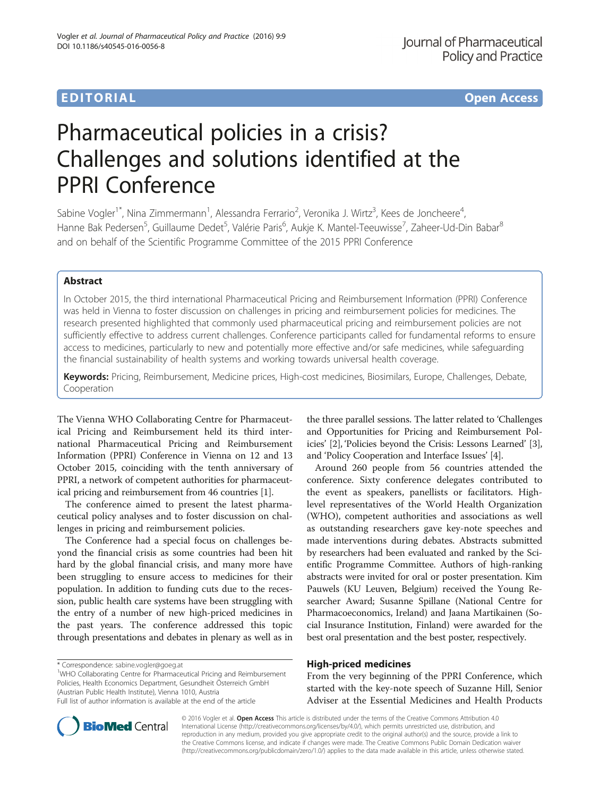# EDITORIAL AND INTERNATIONAL CONTRACT CONTRACT CONTRACT CONTRACT CONTRACT CONTRACT CONTRACT CONTRACT CONTRACT CO

# Pharmaceutical policies in a crisis? Challenges and solutions identified at the PPRI Conference

Sabine Vogler<sup>1\*</sup>, Nina Zimmermann<sup>1</sup>, Alessandra Ferrario<sup>2</sup>, Veronika J. Wirtz<sup>3</sup>, Kees de Joncheere<sup>4</sup> , Hanne Bak Pedersen<sup>5</sup>, Guillaume Dedet<sup>5</sup>, Valérie Paris<sup>6</sup>, Aukje K. Mantel-Teeuwisse<sup>7</sup>, Zaheer-Ud-Din Babar<sup>8</sup> and on behalf of the Scientific Programme Committee of the 2015 PPRI Conference

## Abstract

In October 2015, the third international Pharmaceutical Pricing and Reimbursement Information (PPRI) Conference was held in Vienna to foster discussion on challenges in pricing and reimbursement policies for medicines. The research presented highlighted that commonly used pharmaceutical pricing and reimbursement policies are not sufficiently effective to address current challenges. Conference participants called for fundamental reforms to ensure access to medicines, particularly to new and potentially more effective and/or safe medicines, while safeguarding the financial sustainability of health systems and working towards universal health coverage.

Keywords: Pricing, Reimbursement, Medicine prices, High-cost medicines, Biosimilars, Europe, Challenges, Debate, Cooperation

The Vienna WHO Collaborating Centre for Pharmaceutical Pricing and Reimbursement held its third international Pharmaceutical Pricing and Reimbursement Information (PPRI) Conference in Vienna on 12 and 13 October 2015, coinciding with the tenth anniversary of PPRI, a network of competent authorities for pharmaceutical pricing and reimbursement from 46 countries [[1\]](#page-4-0).

The conference aimed to present the latest pharmaceutical policy analyses and to foster discussion on challenges in pricing and reimbursement policies.

The Conference had a special focus on challenges beyond the financial crisis as some countries had been hit hard by the global financial crisis, and many more have been struggling to ensure access to medicines for their population. In addition to funding cuts due to the recession, public health care systems have been struggling with the entry of a number of new high-priced medicines in the past years. The conference addressed this topic through presentations and debates in plenary as well as in

<sup>1</sup>WHO Collaborating Centre for Pharmaceutical Pricing and Reimbursement Policies, Health Economics Department, Gesundheit Österreich GmbH (Austrian Public Health Institute), Vienna 1010, Austria Full list of author information is available at the end of the article

the three parallel sessions. The latter related to 'Challenges and Opportunities for Pricing and Reimbursement Policies' [\[2](#page-4-0)], 'Policies beyond the Crisis: Lessons Learned' [[3](#page-4-0)], and 'Policy Cooperation and Interface Issues' [[4\]](#page-4-0).

Around 260 people from 56 countries attended the conference. Sixty conference delegates contributed to the event as speakers, panellists or facilitators. Highlevel representatives of the World Health Organization (WHO), competent authorities and associations as well as outstanding researchers gave key-note speeches and made interventions during debates. Abstracts submitted by researchers had been evaluated and ranked by the Scientific Programme Committee. Authors of high-ranking abstracts were invited for oral or poster presentation. Kim Pauwels (KU Leuven, Belgium) received the Young Researcher Award; Susanne Spillane (National Centre for Pharmacoeconomics, Ireland) and Jaana Martikainen (Social Insurance Institution, Finland) were awarded for the best oral presentation and the best poster, respectively.

### High-priced medicines

From the very beginning of the PPRI Conference, which started with the key-note speech of Suzanne Hill, Senior Adviser at the Essential Medicines and Health Products



© 2016 Vogler et al. Open Access This article is distributed under the terms of the Creative Commons Attribution 4.0 International License [\(http://creativecommons.org/licenses/by/4.0/](http://creativecommons.org/licenses/by/4.0/)), which permits unrestricted use, distribution, and reproduction in any medium, provided you give appropriate credit to the original author(s) and the source, provide a link to the Creative Commons license, and indicate if changes were made. The Creative Commons Public Domain Dedication waiver [\(http://creativecommons.org/publicdomain/zero/1.0/](http://creativecommons.org/publicdomain/zero/1.0/)) applies to the data made available in this article, unless otherwise stated.

<sup>\*</sup> Correspondence: [sabine.vogler@goeg.at](mailto:sabine.vogler@goeg.at) <sup>1</sup>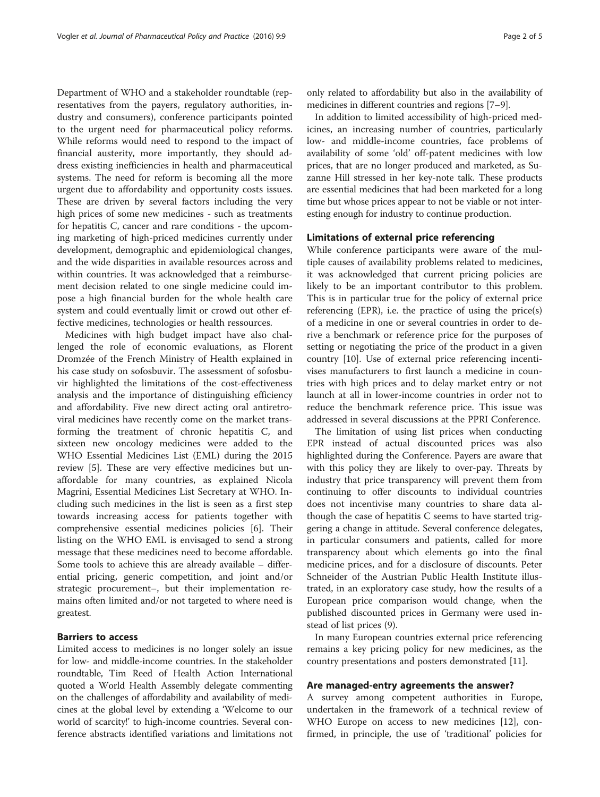Department of WHO and a stakeholder roundtable (representatives from the payers, regulatory authorities, industry and consumers), conference participants pointed to the urgent need for pharmaceutical policy reforms. While reforms would need to respond to the impact of financial austerity, more importantly, they should address existing inefficiencies in health and pharmaceutical systems. The need for reform is becoming all the more urgent due to affordability and opportunity costs issues. These are driven by several factors including the very high prices of some new medicines - such as treatments for hepatitis C, cancer and rare conditions - the upcoming marketing of high-priced medicines currently under development, demographic and epidemiological changes, and the wide disparities in available resources across and within countries. It was acknowledged that a reimbursement decision related to one single medicine could impose a high financial burden for the whole health care system and could eventually limit or crowd out other effective medicines, technologies or health ressources.

Medicines with high budget impact have also challenged the role of economic evaluations, as Florent Dromzée of the French Ministry of Health explained in his case study on sofosbuvir. The assessment of sofosbuvir highlighted the limitations of the cost-effectiveness analysis and the importance of distinguishing efficiency and affordability. Five new direct acting oral antiretroviral medicines have recently come on the market transforming the treatment of chronic hepatitis C, and sixteen new oncology medicines were added to the WHO Essential Medicines List (EML) during the 2015 review [\[5\]](#page-4-0). These are very effective medicines but unaffordable for many countries, as explained Nicola Magrini, Essential Medicines List Secretary at WHO. Including such medicines in the list is seen as a first step towards increasing access for patients together with comprehensive essential medicines policies [[6\]](#page-4-0). Their listing on the WHO EML is envisaged to send a strong message that these medicines need to become affordable. Some tools to achieve this are already available – differential pricing, generic competition, and joint and/or strategic procurement–, but their implementation remains often limited and/or not targeted to where need is greatest.

#### Barriers to access

Limited access to medicines is no longer solely an issue for low- and middle-income countries. In the stakeholder roundtable, Tim Reed of Health Action International quoted a World Health Assembly delegate commenting on the challenges of affordability and availability of medicines at the global level by extending a 'Welcome to our world of scarcity!' to high-income countries. Several conference abstracts identified variations and limitations not

only related to affordability but also in the availability of medicines in different countries and regions [\[7](#page-4-0)–[9\]](#page-4-0).

In addition to limited accessibility of high-priced medicines, an increasing number of countries, particularly low- and middle-income countries, face problems of availability of some 'old' off-patent medicines with low prices, that are no longer produced and marketed, as Suzanne Hill stressed in her key-note talk. These products are essential medicines that had been marketed for a long time but whose prices appear to not be viable or not interesting enough for industry to continue production.

#### Limitations of external price referencing

While conference participants were aware of the multiple causes of availability problems related to medicines, it was acknowledged that current pricing policies are likely to be an important contributor to this problem. This is in particular true for the policy of external price referencing (EPR), i.e. the practice of using the price(s) of a medicine in one or several countries in order to derive a benchmark or reference price for the purposes of setting or negotiating the price of the product in a given country [[10\]](#page-4-0). Use of external price referencing incentivises manufacturers to first launch a medicine in countries with high prices and to delay market entry or not launch at all in lower-income countries in order not to reduce the benchmark reference price. This issue was addressed in several discussions at the PPRI Conference.

The limitation of using list prices when conducting EPR instead of actual discounted prices was also highlighted during the Conference. Payers are aware that with this policy they are likely to over-pay. Threats by industry that price transparency will prevent them from continuing to offer discounts to individual countries does not incentivise many countries to share data although the case of hepatitis C seems to have started triggering a change in attitude. Several conference delegates, in particular consumers and patients, called for more transparency about which elements go into the final medicine prices, and for a disclosure of discounts. Peter Schneider of the Austrian Public Health Institute illustrated, in an exploratory case study, how the results of a European price comparison would change, when the published discounted prices in Germany were used instead of list prices (9).

In many European countries external price referencing remains a key pricing policy for new medicines, as the country presentations and posters demonstrated [[11\]](#page-4-0).

#### Are managed-entry agreements the answer?

A survey among competent authorities in Europe, undertaken in the framework of a technical review of WHO Europe on access to new medicines [[12\]](#page-4-0), confirmed, in principle, the use of 'traditional' policies for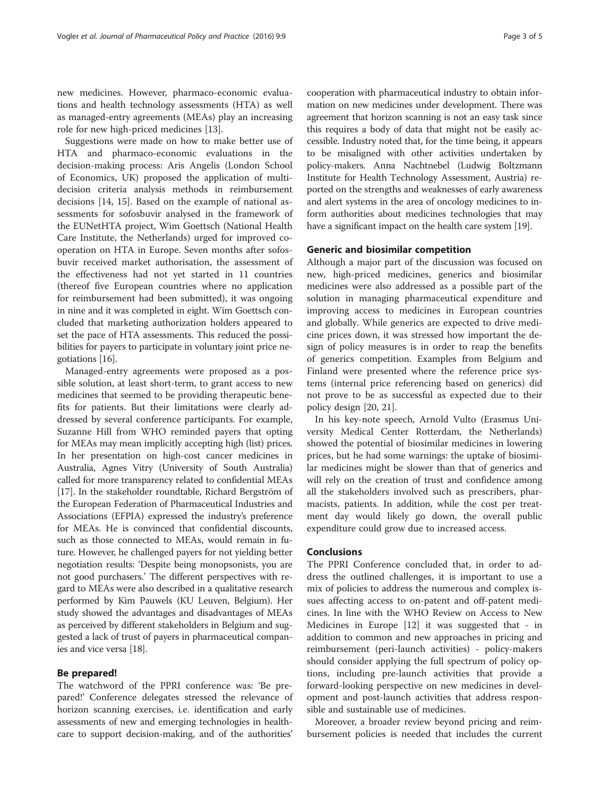new medicines. However, pharmaco-economic evaluations and health technology assessments (HTA) as well as managed-entry agreements (MEAs) play an increasing role for new high-priced medicines [\[13](#page-4-0)].

Suggestions were made on how to make better use of HTA and pharmaco-economic evaluations in the decision-making process: Aris Angelis (London School of Economics, UK) proposed the application of multidecision criteria analysis methods in reimbursement decisions [[14, 15](#page-4-0)]. Based on the example of national assessments for sofosbuvir analysed in the framework of the EUNetHTA project, Wim Goettsch (National Health Care Institute, the Netherlands) urged for improved cooperation on HTA in Europe. Seven months after sofosbuvir received market authorisation, the assessment of the effectiveness had not yet started in 11 countries (thereof five European countries where no application for reimbursement had been submitted), it was ongoing in nine and it was completed in eight. Wim Goettsch concluded that marketing authorization holders appeared to set the pace of HTA assessments. This reduced the possibilities for payers to participate in voluntary joint price negotiations [\[16](#page-4-0)].

Managed-entry agreements were proposed as a possible solution, at least short-term, to grant access to new medicines that seemed to be providing therapeutic benefits for patients. But their limitations were clearly addressed by several conference participants. For example, Suzanne Hill from WHO reminded payers that opting for MEAs may mean implicitly accepting high (list) prices. In her presentation on high-cost cancer medicines in Australia, Agnes Vitry (University of South Australia) called for more transparency related to confidential MEAs [[17](#page-5-0)]. In the stakeholder roundtable, Richard Bergström of the European Federation of Pharmaceutical Industries and Associations (EFPIA) expressed the industry's preference for MEAs. He is convinced that confidential discounts, such as those connected to MEAs, would remain in future. However, he challenged payers for not yielding better negotiation results: 'Despite being monopsonists, you are not good purchasers.' The different perspectives with regard to MEAs were also described in a qualitative research performed by Kim Pauwels (KU Leuven, Belgium). Her study showed the advantages and disadvantages of MEAs as perceived by different stakeholders in Belgium and suggested a lack of trust of payers in pharmaceutical companies and vice versa [\[18](#page-5-0)].

#### Be prepared!

The watchword of the PPRI conference was: 'Be prepared!' Conference delegates stressed the relevance of horizon scanning exercises, i.e. identification and early assessments of new and emerging technologies in healthcare to support decision-making, and of the authorities' cooperation with pharmaceutical industry to obtain information on new medicines under development. There was agreement that horizon scanning is not an easy task since this requires a body of data that might not be easily accessible. Industry noted that, for the time being, it appears to be misaligned with other activities undertaken by policy-makers. Anna Nachtnebel (Ludwig Boltzmann Institute for Health Technology Assessment, Austria) reported on the strengths and weaknesses of early awareness and alert systems in the area of oncology medicines to inform authorities about medicines technologies that may have a significant impact on the health care system [[19](#page-5-0)].

#### Generic and biosimilar competition

Although a major part of the discussion was focused on new, high-priced medicines, generics and biosimilar medicines were also addressed as a possible part of the solution in managing pharmaceutical expenditure and improving access to medicines in European countries and globally. While generics are expected to drive medicine prices down, it was stressed how important the design of policy measures is in order to reap the benefits of generics competition. Examples from Belgium and Finland were presented where the reference price systems (internal price referencing based on generics) did not prove to be as successful as expected due to their policy design [\[20, 21\]](#page-5-0).

In his key-note speech, Arnold Vulto (Erasmus University Medical Center Rotterdam, the Netherlands) showed the potential of biosimilar medicines in lowering prices, but he had some warnings: the uptake of biosimilar medicines might be slower than that of generics and will rely on the creation of trust and confidence among all the stakeholders involved such as prescribers, pharmacists, patients. In addition, while the cost per treatment day would likely go down, the overall public expenditure could grow due to increased access.

#### Conclusions

The PPRI Conference concluded that, in order to address the outlined challenges, it is important to use a mix of policies to address the numerous and complex issues affecting access to on-patent and off-patent medicines. In line with the WHO Review on Access to New Medicines in Europe [[12\]](#page-4-0) it was suggested that - in addition to common and new approaches in pricing and reimbursement (peri-launch activities) - policy-makers should consider applying the full spectrum of policy options, including pre-launch activities that provide a forward-looking perspective on new medicines in development and post-launch activities that address responsible and sustainable use of medicines.

Moreover, a broader review beyond pricing and reimbursement policies is needed that includes the current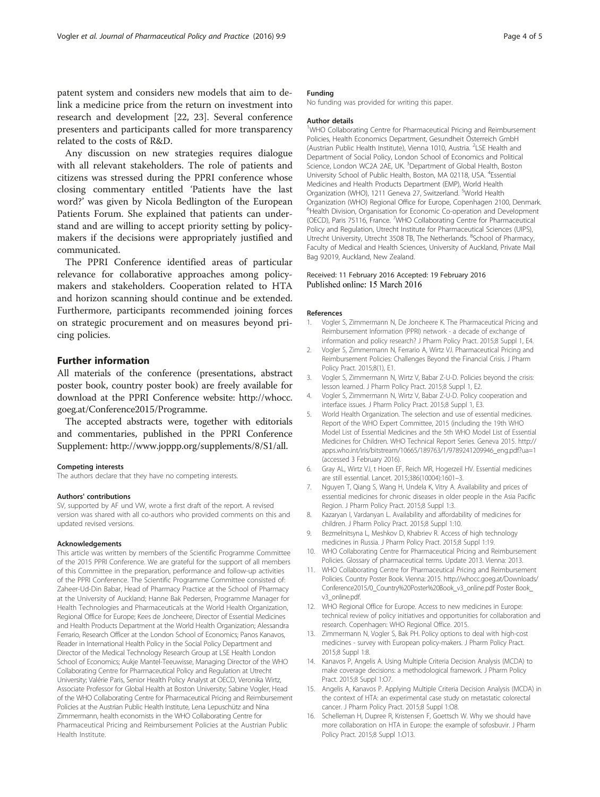<span id="page-4-0"></span>patent system and considers new models that aim to delink a medicine price from the return on investment into research and development [[22, 23](#page-5-0)]. Several conference presenters and participants called for more transparency related to the costs of R&D.

Any discussion on new strategies requires dialogue with all relevant stakeholders. The role of patients and citizens was stressed during the PPRI conference whose closing commentary entitled 'Patients have the last word?' was given by Nicola Bedlington of the European Patients Forum. She explained that patients can understand and are willing to accept priority setting by policymakers if the decisions were appropriately justified and communicated.

The PPRI Conference identified areas of particular relevance for collaborative approaches among policymakers and stakeholders. Cooperation related to HTA and horizon scanning should continue and be extended. Furthermore, participants recommended joining forces on strategic procurement and on measures beyond pricing policies.

#### Further information

All materials of the conference (presentations, abstract poster book, country poster book) are freely available for download at the PPRI Conference website: [http://whocc.](http://whocc.goeg.at/Conference2015/Programme) [goeg.at/Conference2015/Programme.](http://whocc.goeg.at/Conference2015/Programme)

The accepted abstracts were, together with editorials and commentaries, published in the PPRI Conference Supplement: [http://www.joppp.org/supplements/8/S1/all.](http://www.joppp.org/supplements/8/S1/all)

#### Competing interests

The authors declare that they have no competing interests.

#### Authors' contributions

SV, supported by AF und VW, wrote a first draft of the report. A revised version was shared with all co-authors who provided comments on this and updated revised versions.

#### Acknowledgements

This article was written by members of the Scientific Programme Committee of the 2015 PPRI Conference. We are grateful for the support of all members of this Committee in the preparation, performance and follow-up activities of the PPRI Conference. The Scientific Programme Committee consisted of: Zaheer-Ud-Din Babar, Head of Pharmacy Practice at the School of Pharmacy at the University of Auckland; Hanne Bak Pedersen, Programme Manager for Health Technologies and Pharmaceuticals at the World Health Organization, Regional Office for Europe; Kees de Joncheere, Director of Essential Medicines and Health Products Department at the World Health Organization; Alessandra Ferrario, Research Officer at the London School of Economics; Panos Kanavos, Reader in International Health Policy in the Social Policy Department and Director of the Medical Technology Research Group at LSE Health London School of Economics; Aukje Mantel-Teeuwisse, Managing Director of the WHO Collaborating Centre for Pharmaceutical Policy and Regulation at Utrecht University; Valérie Paris, Senior Health Policy Analyst at OECD, Veronika Wirtz, Associate Professor for Global Health at Boston University; Sabine Vogler, Head of the WHO Collaborating Centre for Pharmaceutical Pricing and Reimbursement Policies at the Austrian Public Health Institute, Lena Lepuschütz and Nina Zimmermann, health economists in the WHO Collaborating Centre for Pharmaceutical Pricing and Reimbursement Policies at the Austrian Public Health Institute.

#### Funding

No funding was provided for writing this paper.

#### Author details

<sup>1</sup>WHO Collaborating Centre for Pharmaceutical Pricing and Reimbursement Policies, Health Economics Department, Gesundheit Österreich GmbH (Austrian Public Health Institute), Vienna 1010, Austria. <sup>2</sup>LSE Health and Department of Social Policy, London School of Economics and Political Science, London WC2A 2AE, UK. <sup>3</sup>Department of Global Health, Boston University School of Public Health, Boston, MA 02118, USA. <sup>4</sup>Essential Medicines and Health Products Department (EMP), World Health Organization (WHO), 1211 Geneva 27, Switzerland. <sup>5</sup>World Health Organization (WHO) Regional Office for Europe, Copenhagen 2100, Denmark. <sup>6</sup> Health Division, Organisation for Economic Co-operation and Development (OECD), Paris 75116, France. <sup>7</sup>WHO Collaborating Centre for Pharmaceutical Policy and Regulation, Utrecht Institute for Pharmaceutical Sciences (UIPS), Utrecht University, Utrecht 3508 TB, The Netherlands. <sup>8</sup>School of Pharmacy, Faculty of Medical and Health Sciences, University of Auckland, Private Mail Bag 92019, Auckland, New Zealand.

#### Received: 11 February 2016 Accepted: 19 February 2016 Published online: 15 March 2016

#### References

- 1. Vogler S, Zimmermann N, De Joncheere K. The Pharmaceutical Pricing and Reimbursement Information (PPRI) network - a decade of exchange of information and policy research? J Pharm Policy Pract. 2015;8 Suppl 1, E4.
- 2. Vogler S, Zimmermann N, Ferrario A, Wirtz VJ. Pharmaceutical Pricing and Reimbursement Policies: Challenges Beyond the Financial Crisis. J Pharm Policy Pract. 2015;8(1), E1.
- 3. Vogler S, Zimmermann N, Wirtz V, Babar Z-U-D. Policies beyond the crisis: lesson learned. J Pharm Policy Pract. 2015;8 Suppl 1, E2.
- 4. Vogler S, Zimmermann N, Wirtz V, Babar Z-U-D. Policy cooperation and interface issues. J Pharm Policy Pract. 2015;8 Suppl 1, E3.
- 5. World Health Organization. The selection and use of essential medicines. Report of the WHO Expert Committee, 2015 (including the 19th WHO Model List of Essential Medicines and the 5th WHO Model List of Essential Medicines for Children. WHO Technical Report Series. Geneva 2015. [http://](http://apps.who.int/iris/bitstream/10665/189763/1/9789241209946_eng.pdf?ua=1) [apps.who.int/iris/bitstream/10665/189763/1/9789241209946\\_eng.pdf?ua=1](http://apps.who.int/iris/bitstream/10665/189763/1/9789241209946_eng.pdf?ua=1) (accessed 3 February 2016).
- 6. Gray AL, Wirtz VJ, t Hoen EF, Reich MR, Hogerzeil HV. Essential medicines are still essential. Lancet. 2015;386(10004):1601–3.
- 7. Nguyen T, Qiang S, Wang H, Undela K, Vitry A. Availability and prices of essential medicines for chronic diseases in older people in the Asia Pacific Region. J Pharm Policy Pract. 2015;8 Suppl 1:3.
- 8. Kazaryan I, Vardanyan L. Availability and affordability of medicines for children. J Pharm Policy Pract. 2015;8 Suppl 1:10.
- 9. Bezmelnitsyna L, Meshkov D, Khabriev R. Access of high technology medicines in Russia. J Pharm Policy Pract. 2015;8 Suppl 1:19.
- 10. WHO Collaborating Centre for Pharmaceutical Pricing and Reimbursement Policies. Glossary of pharmaceutical terms. Update 2013. Vienna: 2013.
- 11. WHO Collaborating Centre for Pharmaceutical Pricing and Reimbursement Policies. Country Poster Book. Vienna: 2015. [http://whocc.goeg.at/Downloads/](http://whocc.goeg.at/Downloads/Conference2015/0_Country%20Poster%20Book_v3_online.pdf) [Conference2015/0\\_Country%20Poster%20Book\\_v3\\_online.pdf](http://whocc.goeg.at/Downloads/Conference2015/0_Country%20Poster%20Book_v3_online.pdf) Poster Book\_ v3\_online.pdf.
- 12. WHO Regional Office for Europe. Access to new medicines in Europe: technical review of policy initiatives and opportunities for collaboration and research. Copenhagen: WHO Regional Office. 2015.
- 13. Zimmermann N, Vogler S, Bak PH. Policy options to deal with high-cost medicines - survey with European policy-makers. J Pharm Policy Pract. 2015;8 Suppl 1:8.
- 14. Kanavos P, Angelis A. Using Multiple Criteria Decision Analysis (MCDA) to make coverage decisions: a methodological framework. J Pharm Policy Pract. 2015;8 Suppl 1:O7.
- 15. Angelis A, Kanavos P. Applying Multiple Criteria Decision Analysis (MCDA) in the context of HTA: an experimental case study on metastatic colorectal cancer. J Pharm Policy Pract. 2015;8 Suppl 1:O8.
- 16. Schelleman H, Dupree R, Kristensen F, Goettsch W. Why we should have more collaboration on HTA in Europe: the example of sofosbuvir. J Pharm Policy Pract. 2015;8 Suppl 1:O13.